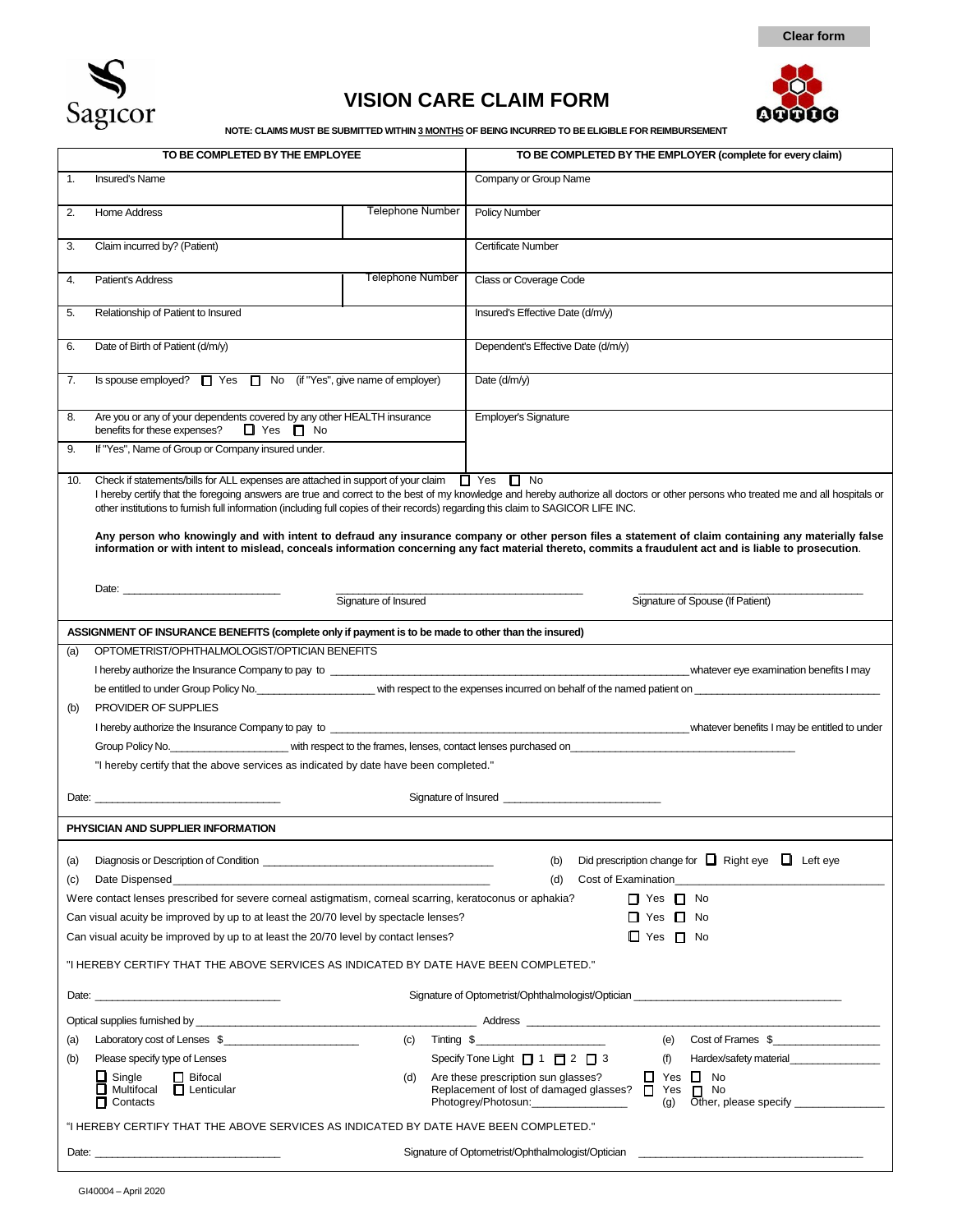

# **VISION CARE CLAIM FORM**





**NOTE: CLAIMS MUST BE SUBMITTED WITHIN 3 MONTHS OF BEING INCURRED TO BE ELIGIBLE FOR REIMBURSEMENT**

| TO BE COMPLETED BY THE EMPLOYEE                                                                                                                                                                                                                                                                                                  |                         | TO BE COMPLETED BY THE EMPLOYER (complete for every claim)                                                                                                                                                                                                                                                                                                                                                                                                                                             |
|----------------------------------------------------------------------------------------------------------------------------------------------------------------------------------------------------------------------------------------------------------------------------------------------------------------------------------|-------------------------|--------------------------------------------------------------------------------------------------------------------------------------------------------------------------------------------------------------------------------------------------------------------------------------------------------------------------------------------------------------------------------------------------------------------------------------------------------------------------------------------------------|
| <b>Insured's Name</b><br>$\mathbf{1}$ .                                                                                                                                                                                                                                                                                          |                         | Company or Group Name                                                                                                                                                                                                                                                                                                                                                                                                                                                                                  |
| Home Address<br>2.                                                                                                                                                                                                                                                                                                               | <b>Telephone Number</b> | Policy Number                                                                                                                                                                                                                                                                                                                                                                                                                                                                                          |
| Claim incurred by? (Patient)<br>3.                                                                                                                                                                                                                                                                                               |                         | Certificate Number                                                                                                                                                                                                                                                                                                                                                                                                                                                                                     |
| Patient's Address<br>4.                                                                                                                                                                                                                                                                                                          | <b>Telephone Number</b> | Class or Coverage Code                                                                                                                                                                                                                                                                                                                                                                                                                                                                                 |
| Relationship of Patient to Insured<br>5.                                                                                                                                                                                                                                                                                         |                         | Insured's Effective Date (d/m/y)                                                                                                                                                                                                                                                                                                                                                                                                                                                                       |
| Date of Birth of Patient (d/m/y)                                                                                                                                                                                                                                                                                                 |                         | Dependent's Effective Date (d/m/y)                                                                                                                                                                                                                                                                                                                                                                                                                                                                     |
| Is spouse employed? $\Box$ Yes $\Box$ No (if "Yes", give name of employer)<br>7.                                                                                                                                                                                                                                                 |                         | Date $(d/m/y)$                                                                                                                                                                                                                                                                                                                                                                                                                                                                                         |
| Are you or any of your dependents covered by any other HEALTH insurance<br>8.<br>benefits for these expenses? $\Box$ Yes $\Box$ No                                                                                                                                                                                               |                         | Employer's Signature                                                                                                                                                                                                                                                                                                                                                                                                                                                                                   |
| If "Yes", Name of Group or Company insured under.                                                                                                                                                                                                                                                                                |                         |                                                                                                                                                                                                                                                                                                                                                                                                                                                                                                        |
| Check if statements/bills for ALL expenses are attached in support of your claim $\Box$ Yes $\Box$ No<br>10.<br>other institutions to furnish full information (including full copies of their records) regarding this claim to SAGICOR LIFE INC.                                                                                |                         | I hereby certify that the foregoing answers are true and correct to the best of my knowledge and hereby authorize all doctors or other persons who treated me and all hospitals or<br>Any person who knowingly and with intent to defraud any insurance company or other person files a statement of claim containing any materially false<br>information or with intent to mislead, conceals information concerning any fact material thereto, commits a fraudulent act and is liable to prosecution. |
| Signature of Insured                                                                                                                                                                                                                                                                                                             |                         | Signature of Spouse (If Patient)                                                                                                                                                                                                                                                                                                                                                                                                                                                                       |
|                                                                                                                                                                                                                                                                                                                                  |                         |                                                                                                                                                                                                                                                                                                                                                                                                                                                                                                        |
| ASSIGNMENT OF INSURANCE BENEFITS (complete only if payment is to be made to other than the insured)                                                                                                                                                                                                                              |                         |                                                                                                                                                                                                                                                                                                                                                                                                                                                                                                        |
| OPTOMETRIST/OPHTHALMOLOGIST/OPTICIAN BENEFITS<br>(a)                                                                                                                                                                                                                                                                             |                         | I hereby authorize the Insurance Company to pay to entertainment and the company of the company to pay to examination benefits I may                                                                                                                                                                                                                                                                                                                                                                   |
|                                                                                                                                                                                                                                                                                                                                  |                         | be entitled to under Group Policy No. The content of the expenses incurred on behalf of the named patient on the content of the named patient on the expenses incurred on behalf of the named patient on the system of the sys                                                                                                                                                                                                                                                                         |
| PROVIDER OF SUPPLIES<br>(b)                                                                                                                                                                                                                                                                                                      |                         |                                                                                                                                                                                                                                                                                                                                                                                                                                                                                                        |
| I hereby authorize the Insurance Company to pay to _____________________________                                                                                                                                                                                                                                                 |                         | whatever benefits I may be entitled to under                                                                                                                                                                                                                                                                                                                                                                                                                                                           |
|                                                                                                                                                                                                                                                                                                                                  |                         | Group Policy No. ______________________________with respect to the frames, lenses, contact lenses purchased on                                                                                                                                                                                                                                                                                                                                                                                         |
| "I hereby certify that the above services as indicated by date have been completed."                                                                                                                                                                                                                                             |                         |                                                                                                                                                                                                                                                                                                                                                                                                                                                                                                        |
|                                                                                                                                                                                                                                                                                                                                  |                         |                                                                                                                                                                                                                                                                                                                                                                                                                                                                                                        |
| PHYSICIAN AND SUPPLIER INFORMATION                                                                                                                                                                                                                                                                                               |                         |                                                                                                                                                                                                                                                                                                                                                                                                                                                                                                        |
| Did prescription change for $\Box$ Right eye $\Box$ Left eye<br>(a)<br>(b)<br>Date Dispensed <b>Executive Contract Contract Contract Contract Contract Contract Contract Contract Contract Contract Contract Contract Contract Contract Contract Contract Contract Contract Contract Contract Contract Contrac</b><br>(d)<br>(c) |                         |                                                                                                                                                                                                                                                                                                                                                                                                                                                                                                        |
| Were contact lenses prescribed for severe corneal astigmatism, corneal scarring, keratoconus or aphakia?                                                                                                                                                                                                                         |                         | $\Box$ Yes $\Box$ No                                                                                                                                                                                                                                                                                                                                                                                                                                                                                   |
| Can visual acuity be improved by up to at least the 20/70 level by spectacle lenses?                                                                                                                                                                                                                                             |                         | $\Box$ Yes $\Box$ No                                                                                                                                                                                                                                                                                                                                                                                                                                                                                   |
| Can visual acuity be improved by up to at least the 20/70 level by contact lenses?<br>$\Box$ Yes $\Box$ No                                                                                                                                                                                                                       |                         |                                                                                                                                                                                                                                                                                                                                                                                                                                                                                                        |
| "I HEREBY CERTIFY THAT THE ABOVE SERVICES AS INDICATED BY DATE HAVE BEEN COMPLETED."                                                                                                                                                                                                                                             |                         |                                                                                                                                                                                                                                                                                                                                                                                                                                                                                                        |
| Date: the contract of the contract of the contract of the contract of the contract of the contract of the contract of the contract of the contract of the contract of the contract of the contract of the contract of the cont                                                                                                   |                         | Signature of Optometrist/Ophthalmologist/Optician ______________________________                                                                                                                                                                                                                                                                                                                                                                                                                       |
|                                                                                                                                                                                                                                                                                                                                  |                         | Optical supplies furnished by example and the state of the state of the Address Address Address Address Address Address Address Address Address Address Address Address Address Address Address Address Address Address Addres                                                                                                                                                                                                                                                                         |
| Laboratory cost of Lenses \$<br>(a)                                                                                                                                                                                                                                                                                              | (c)                     | (e) Cost of Frames \$<br>Tinting \$                                                                                                                                                                                                                                                                                                                                                                                                                                                                    |
| Please specify type of Lenses<br>(b)                                                                                                                                                                                                                                                                                             |                         | Specify Tone Light $\Box$ 1 $\Box$ 2 $\Box$ 3<br>(f)<br>Hardex/safety material                                                                                                                                                                                                                                                                                                                                                                                                                         |
| $\Box$ Single<br>$\Box$ Bifocal<br>Multifocal <b>D</b> Lenticular<br>$\blacksquare$ Contacts                                                                                                                                                                                                                                     | (d)                     | $\Box$ Yes $\Box$ No<br>Are these prescription sun glasses?<br>Replacement of lost of damaged glasses? □ Yes □ No<br>Photogrey/Photosun:<br>(g)                                                                                                                                                                                                                                                                                                                                                        |
| "I HEREBY CERTIFY THAT THE ABOVE SERVICES AS INDICATED BY DATE HAVE BEEN COMPLETED."                                                                                                                                                                                                                                             |                         |                                                                                                                                                                                                                                                                                                                                                                                                                                                                                                        |
|                                                                                                                                                                                                                                                                                                                                  |                         | Signature of Optometrist/Ophthalmologist/Optician example and the control of the control of the control of the                                                                                                                                                                                                                                                                                                                                                                                         |